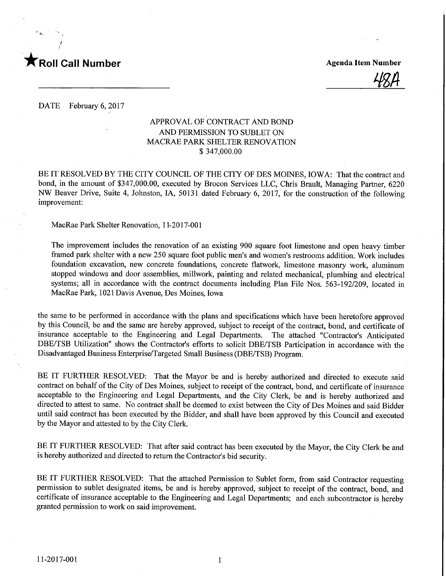

 $^{\epsilon}$  A.

48A

DATE February 6, 2017

## APPROVAL OF CONTRACT AND BOND AND PERMISSION TO SUBLET ON MACRAE PARK SHELTER RENOVATION \$ 347,000.00

BE IT RESOLVED BY THE CITY COUNCIL OF THE CITY OF DES MOINES, IOWA: That the contract and bond, in the amount of \$347,000.00, executed by Brocon Services LLC, Chris Brault, Managing Partner, 6220 NW Beaver Drive, Suite 4, Johnston, IA, 50131 dated February 6, 2017, for the construction of the following improvement:

MacRae Park Shelter Renovation, 1 1-2017-001

The improvement includes the renovation of an existing 900 square foot limestone and open heavy timber framed park shelter with a new 250 square foot public men's and women's restrooms addition. Work includes foundation excavation, new concrete foundations, concrete flatwork, limestone masonry work, aluminum stopped windows and door assemblies, millwork, painting and related mechanical, plumbing and electrical systems; all in accordance with the contract documents including Plan File Nos. 563-192/209, located in MacRae Park, 1021 Davis Avenue, Des Moines, Iowa

the same to be performed in accordance with the plans and specifications which have been heretofore approved by this Council, be and the same are hereby approved, subject to receipt of the contract, bond, and certificate of insurance acceptable to the Engineering and Legal Departments. The attached "Contractor's Anticipated DBE/TSB Utilization" shows the Contractor's efforts to solicit DBE/TSB Participation in accordance with the Disadvantaged Business Enterprise/Targeted Small Business (DBE/TSB) Program.

BE IT FURTHER RESOLVED: That the Mayor be and is hereby authorized and directed to execute said contract on behalf of the City of Des Moines, subject to receipt of the contract, bond, and certificate of insurance acceptable to the Engineering and Legal Departments, and the City Clerk, be and is hereby authorized and directed to attest to same. No contract shall be deemed to exist between the City of Des Moines and said Bidder until said contract has been executed by the Bidder, and shall have been approved by this Council and executed by the Mayor and attested to by the City Clerk.

BE IT FURTHER RESOLVED: That after said contract has been executed by the Mayor, the City Clerk be and is hereby authorized and directed to return the Contractor's bid security.

BE IT FURTHER RESOLVED: That the attached Permission to Sublet form, from said Contractor requesting permission to sublet designated items, be and is hereby approved, subject to receipt of the contract, bond, and certificate of insurance acceptable to the Engineering and Legal Departments; and each subcontractor is hereby granted permission to work on said improvement.

 $\mathbf{1}$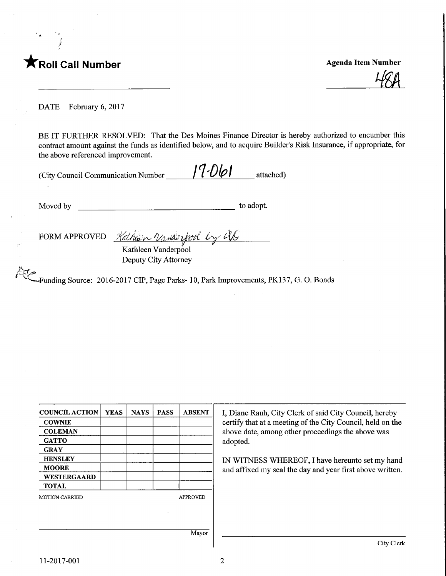

 $48A$ 

DATE February 6, 2017

BE IT FURTHER RESOLVED: That the Des Moines Finance Director is hereby authorized to encumber this contract amount against the funds as identified below, and to acquire Builder's Risk Insurance, if appropriate, for the above referenced improvement.

| (City Council Communication Number | 17.061 | attached) |
|------------------------------------|--------|-----------|
|                                    |        |           |

Moved by to adopt.

FORM APPROVED <u>Hathler Vanderbool</u><br>Kathleen Vanderpool

Deputy City Attorney

 $\approx$  $\overline{\mathcal{C}}$ ^—Funding Source: 2016-2017 CIP, Page Parks-10, Park Improvements, PK137, G. 0. Bonds

COUNCIL ACTION **COWNIE COLEMAN GATTO GRAY HENSLEY MOORE** WESTERGAARD TOTAL YEAS | NAYS | PASS | ABSENT MOTION CARRIED APPROVED Mayor

I, Diane Rauh, City Clerk of said City Council, hereby certify that at a meeting of the City Council, held on the above date, among other proceedings the above was adopted.

IN WITNESS WHEREOF, I have hereunto set my hand and affixed my seal the day and year first above written.